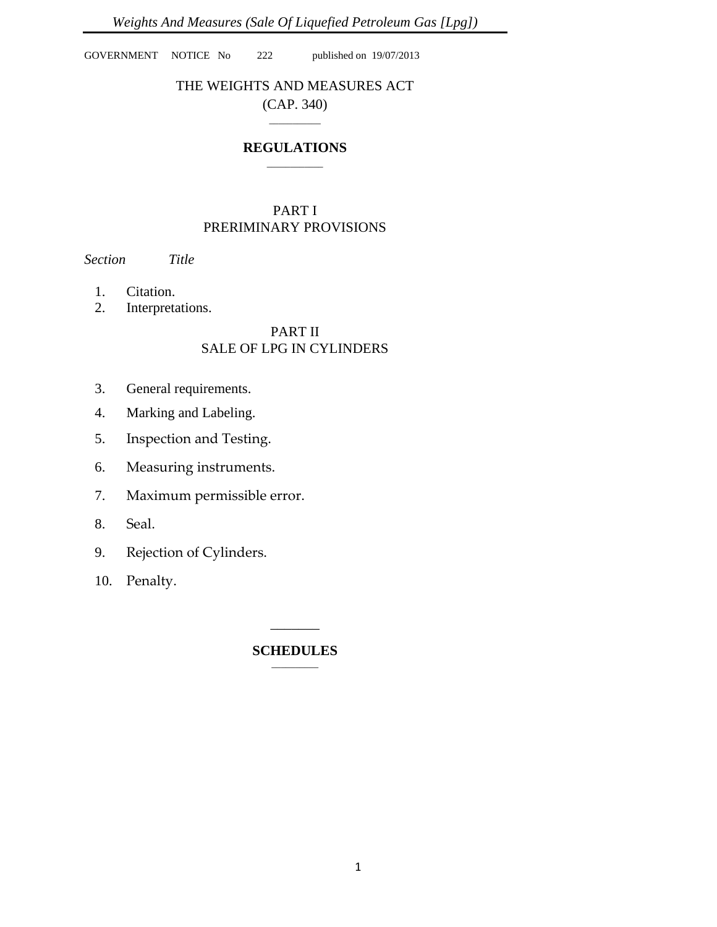GOVERNMENT NOTICE No 222 published on 19/07/2013

# THE WEIGHTS AND MEASURES ACT (CAP. 340)

## **REGULATIONS** \_\_\_\_\_\_\_\_\_\_\_\_

 $\overline{\phantom{a}}$ 

# PART I PRERIMINARY PROVISIONS

# *Section Title*

- 1. Citation.
- 2. Interpretations.

## PART II SALE OF LPG IN CYLINDERS

- 3. General requirements.
- 4. Marking and Labeling.
- 5. Inspection and Testing.
- 6. Measuring instruments.
- 7. Maximum permissible error.
- 8. Seal.
- 9. Rejection of Cylinders.
- 10. Penalty.

#### **SCHEDULES**  $\overline{\phantom{a}}$

 $\overline{\phantom{a}}$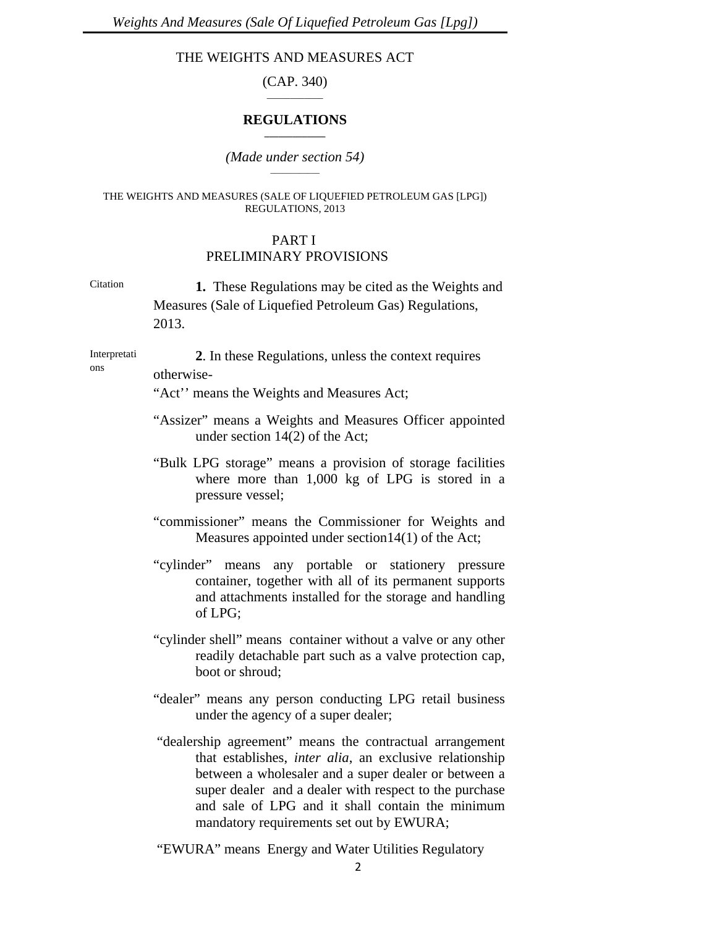# THE WEIGHTS AND MEASURES ACT

(CAP. 340)  $\overline{\phantom{a}}$ 

## **REGULATIONS \_\_\_\_\_\_\_\_\_\_\_\_\_**

## *(Made under section 54)*

#### THE WEIGHTS AND MEASURES (SALE OF LIQUEFIED PETROLEUM GAS [LPG]) REGULATIONS, 2013

## PART I PRELIMINARY PROVISIONS

Citation **1.** These Regulations may be cited as the Weights and Measures (Sale of Liquefied Petroleum Gas) Regulations, 2013.

Interpretati Interpretati **2.** In these Regulations, unless the context requires ons otherwise-

"Act'' means the Weights and Measures Act;

- "Assizer" means a Weights and Measures Officer appointed under section 14(2) of the Act;
- "Bulk LPG storage" means a provision of storage facilities where more than 1,000 kg of LPG is stored in a pressure vessel;
- "commissioner" means the Commissioner for Weights and Measures appointed under section14(1) of the Act;
- "cylinder" means any portable or stationery pressure container, together with all of its permanent supports and attachments installed for the storage and handling of LPG;
- "cylinder shell" means container without a valve or any other readily detachable part such as a valve protection cap, boot or shroud;
- "dealer" means any person conducting LPG retail business under the agency of a super dealer;
- "dealership agreement" means the contractual arrangement that establishes, *inter alia*, an exclusive relationship between a wholesaler and a super dealer or between a super dealer and a dealer with respect to the purchase and sale of LPG and it shall contain the minimum mandatory requirements set out by EWURA;
- "EWURA" means Energy and Water Utilities Regulatory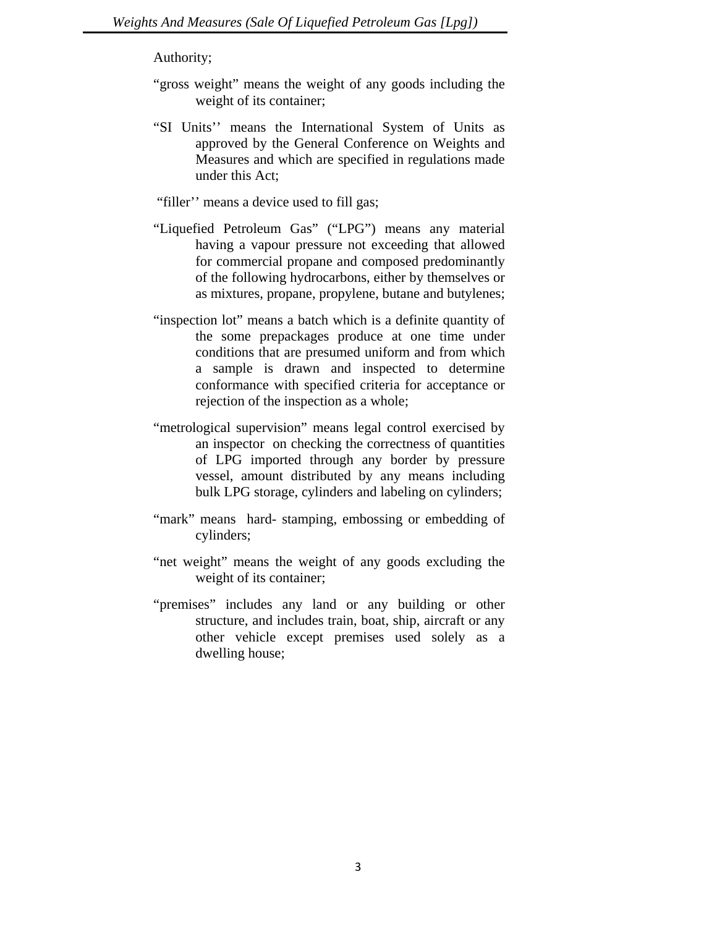Authority;

- "gross weight" means the weight of any goods including the weight of its container;
- "SI Units'' means the International System of Units as approved by the General Conference on Weights and Measures and which are specified in regulations made under this Act;

"filler'' means a device used to fill gas;

- "Liquefied Petroleum Gas" ("LPG") means any material having a vapour pressure not exceeding that allowed for commercial propane and composed predominantly of the following hydrocarbons, either by themselves or as mixtures, propane, propylene, butane and butylenes;
- "inspection lot" means a batch which is a definite quantity of the some prepackages produce at one time under conditions that are presumed uniform and from which a sample is drawn and inspected to determine conformance with specified criteria for acceptance or rejection of the inspection as a whole;
- "metrological supervision" means legal control exercised by an inspector on checking the correctness of quantities of LPG imported through any border by pressure vessel, amount distributed by any means including bulk LPG storage, cylinders and labeling on cylinders;
- "mark" means hard- stamping, embossing or embedding of cylinders;
- "net weight" means the weight of any goods excluding the weight of its container;
- "premises" includes any land or any building or other structure, and includes train, boat, ship, aircraft or any other vehicle except premises used solely as a dwelling house;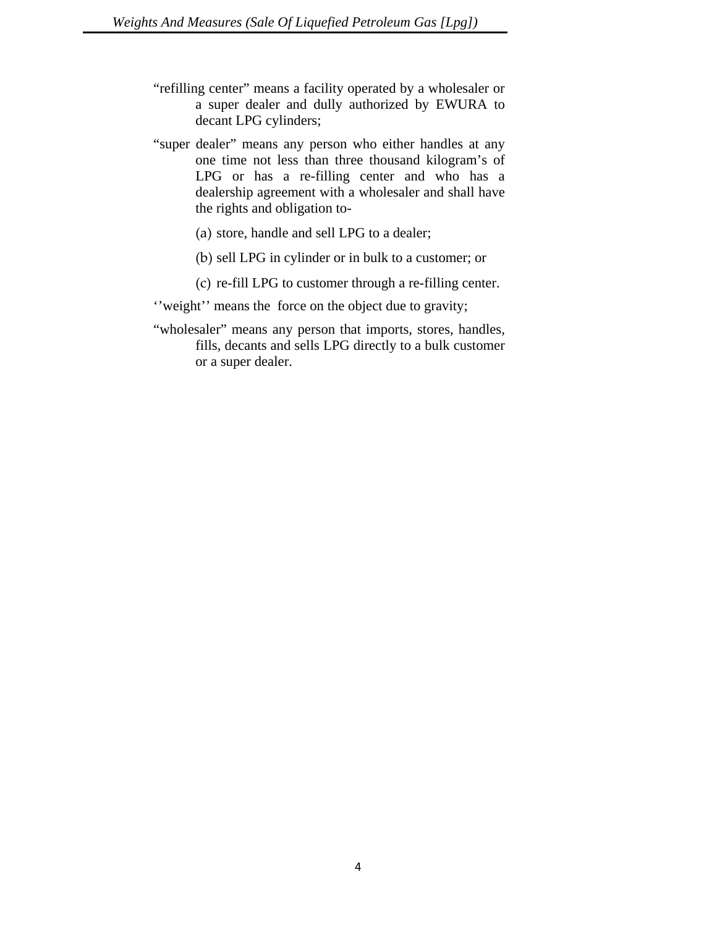- "refilling center" means a facility operated by a wholesaler or a super dealer and dully authorized by EWURA to decant LPG cylinders;
- "super dealer" means any person who either handles at any one time not less than three thousand kilogram's of LPG or has a re-filling center and who has a dealership agreement with a wholesaler and shall have the rights and obligation to-
	- (a) store, handle and sell LPG to a dealer;
	- (b) sell LPG in cylinder or in bulk to a customer; or
	- (c) re-fill LPG to customer through a re-filling center.

''weight'' means the force on the object due to gravity;

"wholesaler" means any person that imports, stores, handles, fills, decants and sells LPG directly to a bulk customer or a super dealer.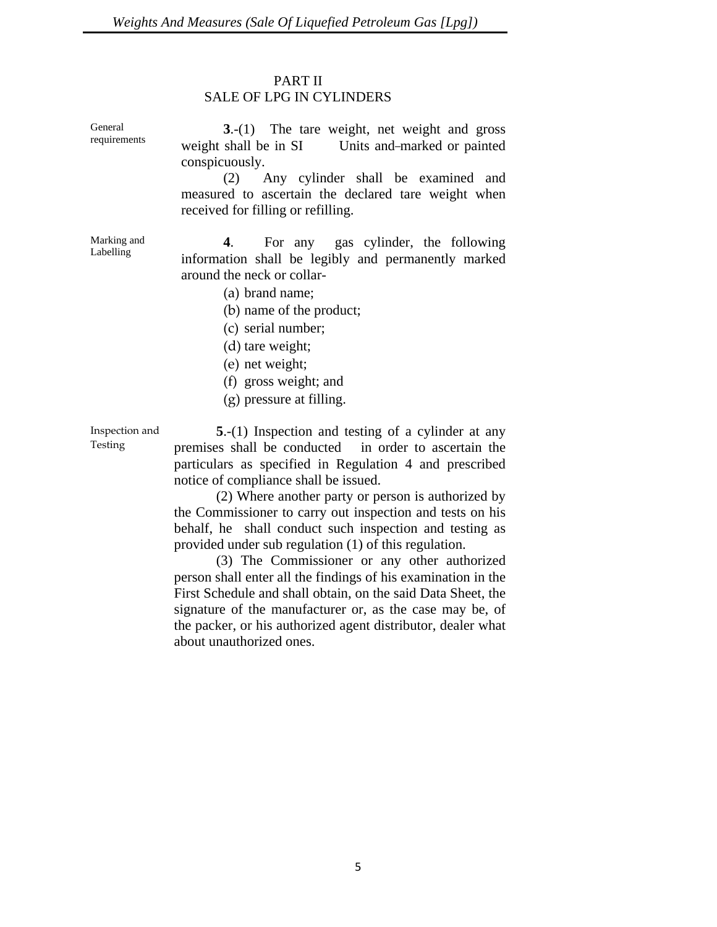## PART II

# SALE OF LPG IN CYLINDERS

General requirements

**3**.-(1) The tare weight, net weight and gross weight shall be in SI Units and-marked or painted conspicuously.

 (2) Any cylinder shall be examined and measured to ascertain the declared tare weight when received for filling or refilling.

**4**. For any gas cylinder, the following information shall be legibly and permanently marked around the neck or collar-

- (a) brand name;
- (b) name of the product;
- (c) serial number;
- (d) tare weight;
- (e) net weight;
- (f) gross weight; and
- (g) pressure at filling.

Inspection and Testing

**5**.-(1) Inspection and testing of a cylinder at any premises shall be conducted in order to ascertain the particulars as specified in Regulation 4 and prescribed notice of compliance shall be issued.

 (2) Where another party or person is authorized by the Commissioner to carry out inspection and tests on his behalf, he shall conduct such inspection and testing as provided under sub regulation (1) of this regulation.

 (3) The Commissioner or any other authorized person shall enter all the findings of his examination in the First Schedule and shall obtain, on the said Data Sheet, the signature of the manufacturer or, as the case may be, of the packer, or his authorized agent distributor, dealer what about unauthorized ones.

Marking and Labelling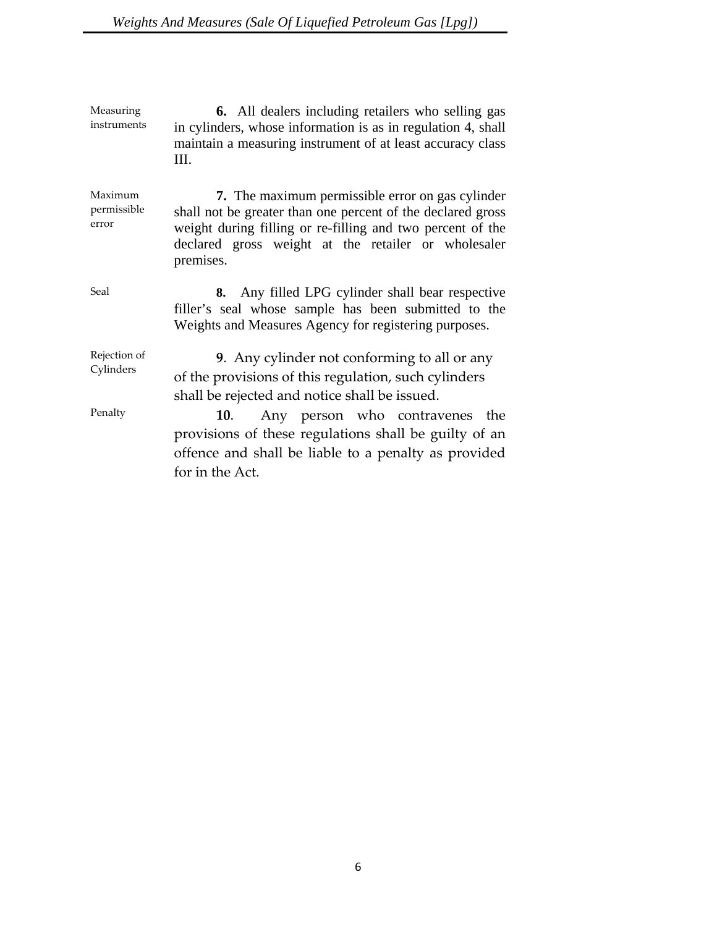Measuring instruments **6.** All dealers including retailers who selling gas in cylinders, whose information is as in regulation 4, shall maintain a measuring instrument of at least accuracy class III.

Maximum permissible error **7.** The maximum permissible error on gas cylinder shall not be greater than one percent of the declared gross weight during filling or re-filling and two percent of the declared gross weight at the retailer or wholesaler premises.

Seal **8.** Any filled LPG cylinder shall bear respective filler's seal whose sample has been submitted to the Weights and Measures Agency for registering purposes.

Rejection of Cylinders **9**. Any cylinder not conforming to all or any of the provisions of this regulation, such cylinders shall be rejected and notice shall be issued.

Penalty **10**. Any person who contravenes the provisions of these regulations shall be guilty of an offence and shall be liable to a penalty as provided for in the Act.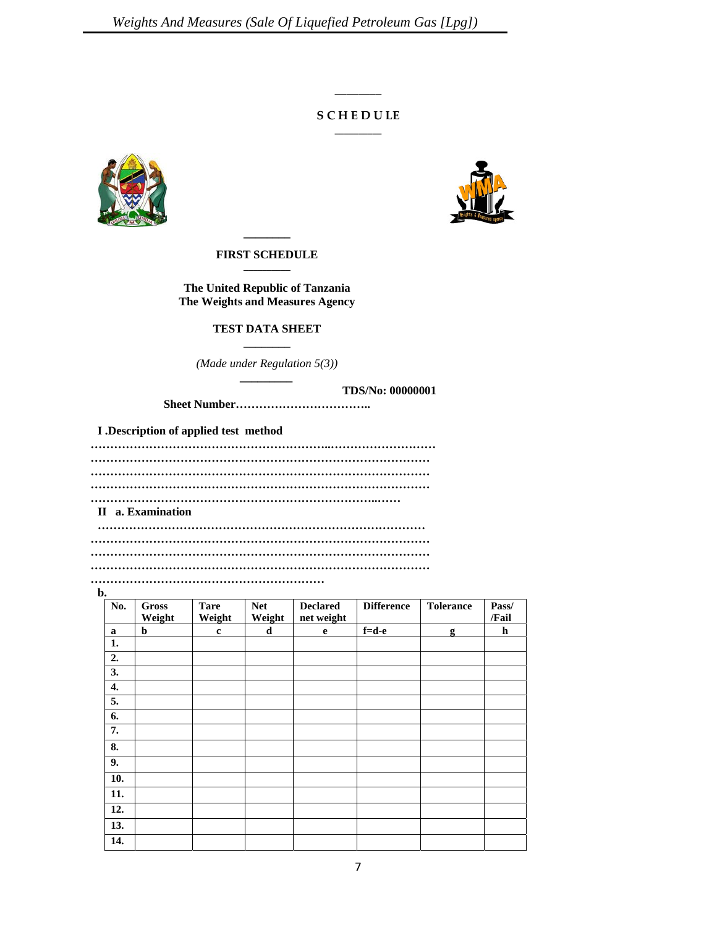## **S C H E D U LE**  $\overline{\phantom{a}}$

 $\overline{\phantom{a}}$ 





**FIRST SCHEDULE \_\_\_\_\_\_\_\_\_\_** 

**The United Republic of Tanzania The Weights and Measures Agency** 

#### **TEST DATA SHEET \_\_\_\_\_\_\_\_**

*(Made under Regulation 5(3)) \_\_\_\_\_\_\_\_\_* 

**TDS/No: 00000001** 

**Sheet Number……………………………..** 

**I .Description of applied test method** 

**……………………………………………………..……………………… …………………………………………………………………………… …………………………………………………………………………… …………………………………………………………………………… ………………………………………………………………..…… II a. Examination ………………………………………………………………………… ……………………………………………………………………………**

**……………………………………………………………………………**

**…………………………………………………………………………… ……………………………………………………** 

**b.** 

| No.                       | <b>Gross</b> | <b>Tare</b> | <b>Net</b> | <b>Declared</b> | <b>Difference</b> | <b>Tolerance</b> | Pass/ |  |  |  |  |
|---------------------------|--------------|-------------|------------|-----------------|-------------------|------------------|-------|--|--|--|--|
|                           | Weight       | Weight      | Weight     | net weight      |                   |                  | /Fail |  |  |  |  |
| a                         | b            | $\mathbf c$ | d          | $\mathbf e$     | $f=d-e$           | g                | h     |  |  |  |  |
| 1.                        |              |             |            |                 |                   |                  |       |  |  |  |  |
| 2.                        |              |             |            |                 |                   |                  |       |  |  |  |  |
| 3.                        |              |             |            |                 |                   |                  |       |  |  |  |  |
| 4.                        |              |             |            |                 |                   |                  |       |  |  |  |  |
| 5.                        |              |             |            |                 |                   |                  |       |  |  |  |  |
| 6.                        |              |             |            |                 |                   |                  |       |  |  |  |  |
| 7.                        |              |             |            |                 |                   |                  |       |  |  |  |  |
| $\overline{\mathbf{8}}$ . |              |             |            |                 |                   |                  |       |  |  |  |  |
| $\overline{9}$ .          |              |             |            |                 |                   |                  |       |  |  |  |  |
| $\overline{10}$ .         |              |             |            |                 |                   |                  |       |  |  |  |  |
| 11.                       |              |             |            |                 |                   |                  |       |  |  |  |  |
| 12.                       |              |             |            |                 |                   |                  |       |  |  |  |  |
| 13.                       |              |             |            |                 |                   |                  |       |  |  |  |  |
| 14.                       |              |             |            |                 |                   |                  |       |  |  |  |  |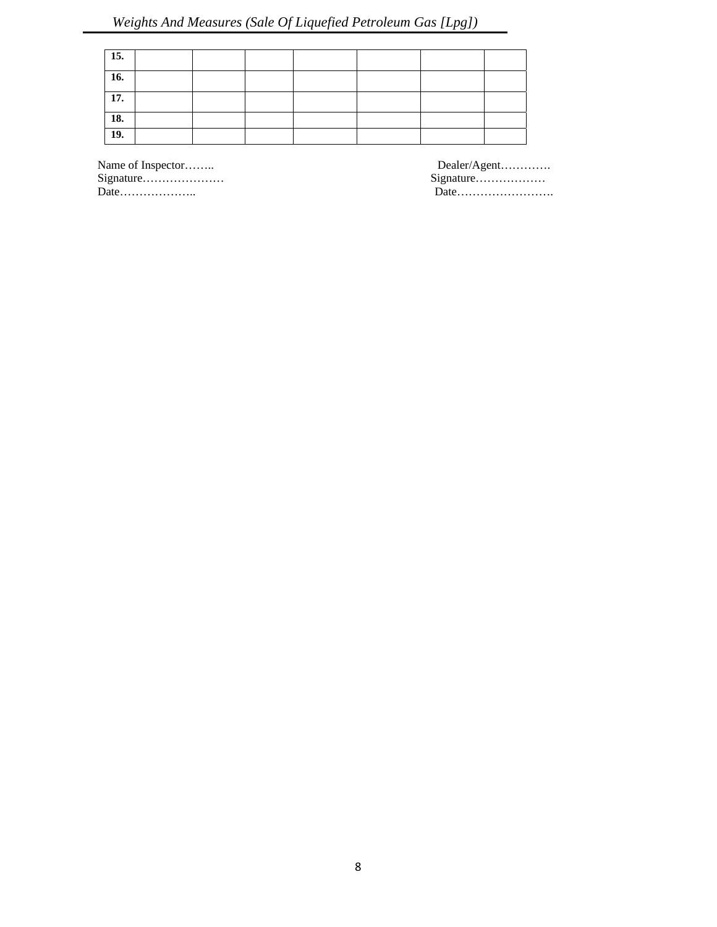| 15. |  |  |  |  |
|-----|--|--|--|--|
| 16. |  |  |  |  |
| 17. |  |  |  |  |
| 18. |  |  |  |  |
| 19. |  |  |  |  |

Signature………………… Signature……………… Date……………….. Date…………………….

Name of Inspector…….. Dealer/Agent………….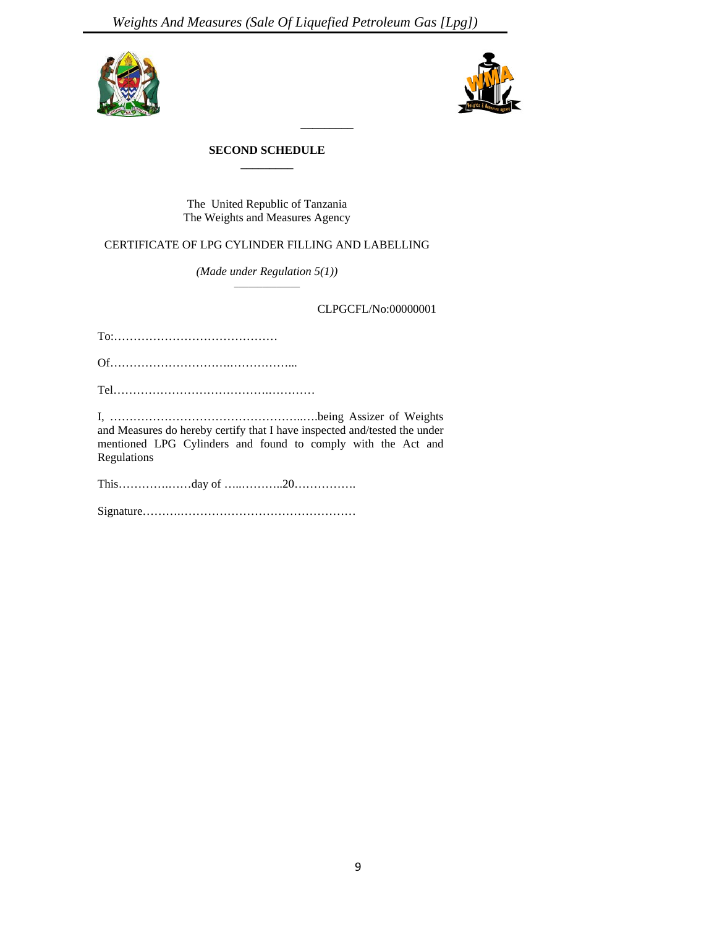



### **SECOND SCHEDULE \_\_\_\_\_\_\_\_\_**

The United Republic of Tanzania The Weights and Measures Agency

# CERTIFICATE OF LPG CYLINDER FILLING AND LABELLING

*(Made under Regulation 5(1))* 

CLPGCFL/No:00000001

To:……………………………………

Of………………………….……………...

Tel………………………………….…………

I, …………………………………………..….being Assizer of Weights and Measures do hereby certify that I have inspected and/tested the under mentioned LPG Cylinders and found to comply with the Act and Regulations

This………….……day of …..………..20…………….

Signature……….………………………………………